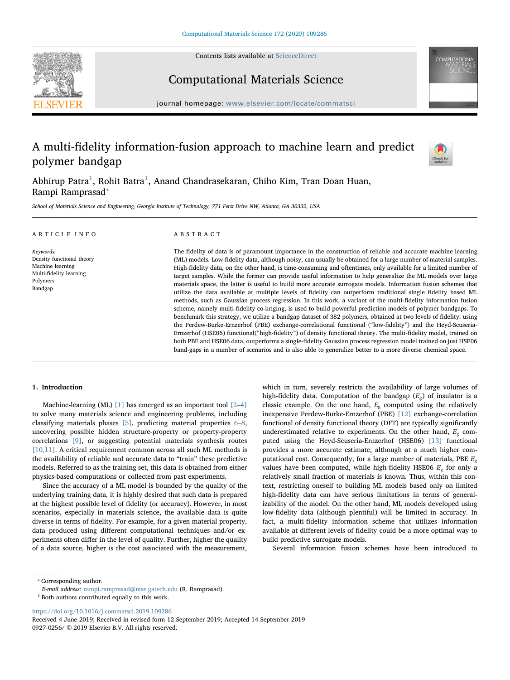Contents lists available at [ScienceDirect](http://www.sciencedirect.com/science/journal/09270256)





# Computational Materials Science

journal homepage: [www.elsevier.com/locate/commatsci](https://www.elsevier.com/locate/commatsci)

# A multi-fidelity information-fusion approach to machine learn and predict polymer bandgap



Abhirup Patra<sup>[1](#page-0-0)</sup>, Rohit Batra<sup>1</sup>, Anand Chandrasekaran, Chiho Kim, Tran Doan Huan, Rampi Ramprasad[⁎](#page-0-1)

School of Materials Science and Engineering, Georgia Institute of Technology, 771 Ferst Drive NW, Atlanta, GA 30332, USA

| ARTICLE INFO                                                                                                 | ABSTRACT                                                                                                                                                                                                                                                                                                                                                                                                                                                                                                                                                                                                                                                                                                                                                                                                                                                                                                                                                                                                                                                                                                                                                                                                                                                                                                                                                                                                                                                                                                                        |
|--------------------------------------------------------------------------------------------------------------|---------------------------------------------------------------------------------------------------------------------------------------------------------------------------------------------------------------------------------------------------------------------------------------------------------------------------------------------------------------------------------------------------------------------------------------------------------------------------------------------------------------------------------------------------------------------------------------------------------------------------------------------------------------------------------------------------------------------------------------------------------------------------------------------------------------------------------------------------------------------------------------------------------------------------------------------------------------------------------------------------------------------------------------------------------------------------------------------------------------------------------------------------------------------------------------------------------------------------------------------------------------------------------------------------------------------------------------------------------------------------------------------------------------------------------------------------------------------------------------------------------------------------------|
| Keywords:<br>Density functional theory<br>Machine learning<br>Multi-fidelity learning<br>Polymers<br>Bandgap | The fidelity of data is of paramount importance in the construction of reliable and accurate machine learning<br>(ML) models. Low-fidelity data, although noisy, can usually be obtained for a large number of material samples.<br>High-fidelity data, on the other hand, is time-consuming and oftentimes, only available for a limited number of<br>target samples. While the former can provide useful information to help generalize the ML models over large<br>materials space, the latter is useful to build more accurate surrogate models. Information fusion schemes that<br>utilize the data available at multiple levels of fidelity can outperform traditional single fidelity based ML<br>methods, such as Gaussian process regression. In this work, a variant of the multi-fidelity information fusion<br>scheme, namely multi-fidelity co-kriging, is used to build powerful prediction models of polymer bandgaps. To<br>benchmark this strategy, we utilize a bandgap dataset of 382 polymers, obtained at two levels of fidelity: using<br>the Perdew-Burke-Ernzerhof (PBE) exchange-correlational functional ("low-fidelity") and the Heyd-Scuseria-<br>Ernzerhof (HSE06) functional ("high-fidelity") of density functional theory. The multi-fidelity model, trained on<br>both PBE and HSE06 data, outperforms a single-fidelity Gaussian process regression model trained on just HSE06<br>band-gaps in a number of scenarios and is also able to generalize better to a more diverse chemical space. |

# 1. Introduction

Machine-learning (ML) [\[1\]](#page-4-0) has emerged as an important tool  $[2-4]$  $[2-4]$ to solve many materials science and engineering problems, including classifying materials phases [\[5\],](#page-4-2) predicting material properties [6](#page-4-3)–8, uncovering possible hidden structure-property or property-property correlations [\[9\]](#page-4-4), or suggesting potential materials synthesis routes [\[10,11\].](#page-4-5) A critical requirement common across all such ML methods is the availability of reliable and accurate data to "train" these predictive models. Referred to as the training set, this data is obtained from either physics-based computations or collected from past experiments.

Since the accuracy of a ML model is bounded by the quality of the underlying training data, it is highly desired that such data is prepared at the highest possible level of fidelity (or accuracy). However, in most scenarios, especially in materials science, the available data is quite diverse in terms of fidelity. For example, for a given material property, data produced using different computational techniques and/or experiments often differ in the level of quality. Further, higher the quality of a data source, higher is the cost associated with the measurement,

which in turn, severely restricts the availability of large volumes of high-fidelity data. Computation of the bandgap (*E*g) of insulator is a classic example. On the one hand, *E*<sup>g</sup> computed using the relatively inexpensive Perdew-Burke-Ernzerhof (PBE) [\[12\]](#page-4-6) exchange-correlation functional of density functional theory (DFT) are typically significantly underestimated relative to experiments. On the other hand,  $E_g$  computed using the Heyd-Scuseria-Ernzerhof (HSE06) [\[13\]](#page-4-7) functional provides a more accurate estimate, although at a much higher computational cost. Consequently, for a large number of materials, PBE *E*<sup>g</sup> values have been computed, while high-fidelity HSE06  $E<sub>g</sub>$  for only a relatively small fraction of materials is known. Thus, within this context, restricting oneself to building ML models based only on limited high-fidelity data can have serious limitations in terms of generalizability of the model. On the other hand, ML models developed using low-fidelity data (although plentiful) will be limited in accuracy. In fact, a multi-fidelity information scheme that utilizes information available at different levels of fidelity could be a more optimal way to build predictive surrogate models.

Several information fusion schemes have been introduced to

<span id="page-0-1"></span>⁎ Corresponding author.

<https://doi.org/10.1016/j.commatsci.2019.109286>

E-mail address: [rampi.ramprasad@mse.gatech.edu](mailto:rampi.ramprasad@mse.gatech.edu) (R. Ramprasad).

<span id="page-0-0"></span> $^{\rm 1}$  Both authors contributed equally to this work.

Received 4 June 2019; Received in revised form 12 September 2019; Accepted 14 September 2019 0927-0256/ © 2019 Elsevier B.V. All rights reserved.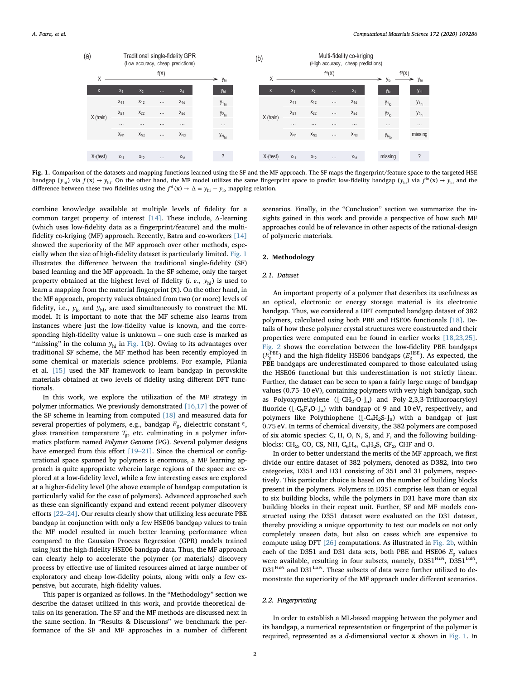<span id="page-1-0"></span>

Fig. 1. Comparison of the datasets and mapping functions learned using the SF and the MF approach. The SF maps the fingerprint/feature space to the targeted HSE bandgap ( $y_{hi}$ ) via  $f(x) \rightarrow y_{hi}$ . On the other hand, the MF model utilizes the same fingerprint space to predict low-fidelity bandgap ( $y_{io}$ ) via  $f^{lo}(x) \rightarrow y_{lo}$  and the difference between these two fidelities using the  $f^d(\mathbf{x}) \to \Delta = y_{hi} - y_{lo}$  mapping relation.

combine knowledge available at multiple levels of fidelity for a common target property of interest [\[14\].](#page-4-8) These include, Δ-learning (which uses low-fidelity data as a fingerprint/feature) and the multifidelity co-kriging (MF) approach. Recently, Batra and co-workers [\[14\]](#page-4-8) showed the superiority of the MF approach over other methods, especially when the size of high-fidelity dataset is particularly limited. [Fig. 1](#page-1-0) illustrates the difference between the traditional single-fidelity (SF) based learning and the MF approach. In the SF scheme, only the target property obtained at the highest level of fidelity (*i. e.*,  $y_{hi}$ ) is used to learn a mapping from the material fingerprint (**x**). On the other hand, in the MF approach, property values obtained from two (or more) levels of fidelity, i.e.,  $y_{lo}$  and  $y_{hi}$ , are used simultaneously to construct the ML model. It is important to note that the MF scheme also learns from instances where just the low-fidelity value is known, and the corresponding high-fidelity value is unknown – one such case is marked as "missing" in the column  $y_{hi}$  in [Fig. 1\(](#page-1-0)b). Owing to its advantages over traditional SF scheme, the MF method has been recently employed in some chemical or materials science problems. For example, Pilania et al. [\[15\]](#page-4-9) used the MF framework to learn bandgap in perovskite materials obtained at two levels of fidelity using different DFT functionals.

In this work, we explore the utilization of the MF strategy in polymer informatics. We previously demonstrated  $[16,17]$  the power of the SF scheme in learning from computed [\[18\]](#page-4-11) and measured data for several properties of polymers, e.g., bandgap *E*<sub>g</sub>, dielectric constant  $∈$ , glass transition temperature *T*g, etc. culminating in a polymer informatics platform named Polymer Genome (PG). Several polymer designs have emerged from this effort [19–[21\].](#page-4-12) Since the chemical or configurational space spanned by polymers is enormous, a MF learning approach is quite appropriate wherein large regions of the space are explored at a low-fidelity level, while a few interesting cases are explored at a higher-fidelity level (the above example of bandgap computation is particularly valid for the case of polymers). Advanced approached such as these can significantly expand and extend recent polymer discovery efforts [22–[24\].](#page-4-13) Our results clearly show that utilizing less accurate PBE bandgap in conjunction with only a few HSE06 bandgap values to train the MF model resulted in much better learning performance when compared to the Gaussian Process Regression (GPR) models trained using just the high-fidelity HSE06 bandgap data. Thus, the MF approach can clearly help to accelerate the polymer (or materials) discovery process by effective use of limited resources aimed at large number of exploratory and cheap low-fidelity points, along with only a few expensive, but accurate, high-fidelity values.

This paper is organized as follows. In the "Methodology" section we describe the dataset utilized in this work, and provide theoretical details on its generation. The SF and the MF methods are discussed next in the same section. In "Results & Discussions" we benchmark the performance of the SF and MF approaches in a number of different scenarios. Finally, in the "Conclusion" section we summarize the insights gained in this work and provide a perspective of how such MF approaches could be of relevance in other aspects of the rational-design of polymeric materials.

# 2. Methodology

# 2.1. Dataset

An important property of a polymer that describes its usefulness as an optical, electronic or energy storage material is its electronic bandgap. Thus, we considered a DFT computed bandgap dataset of 382 polymers, calculated using both PBE and HSE06 functionals [\[18\].](#page-4-11) Details of how these polymer crystal structures were constructed and their properties were computed can be found in earlier works [\[18,23,25\]](#page-4-11). [Fig. 2](#page-2-0) shows the correlation between the low-fidelity PBE bandgaps (*E*<sup>g</sup> PBE) and the high-fidelity HSE06 bandgaps (*E*<sup>g</sup> HSE). As expected, the PBE bandgaps are underestimated compared to those calculated using the HSE06 functional but this underestimation is not strictly linear. Further, the dataset can be seen to span a fairly large range of bandgap values (0.75–10 eV), containing polymers with very high bandgap, such as Polyoxymethylene  $([-CH<sub>2</sub>-O<sub>-</sub>]<sub>n</sub>)$  and Poly-2,3,3-Trifluoroacryloyl fluoride  $([-C_3F_4O_1]_n)$  with bandgap of 9 and 10 eV, respectively, and polymers like Polythiophene  $([-C<sub>4</sub>H<sub>2</sub>S<sub>-</sub>]<sub>n</sub>)$  with a bandgap of just 0.75 eV. In terms of chemical diversity, the 382 polymers are composed of six atomic species: C, H, O, N, S, and F, and the following buildingblocks: CH<sub>2</sub>, CO, CS, NH, C<sub>6</sub>H<sub>4</sub>, C<sub>4</sub>H<sub>2</sub>S, CF<sub>2</sub>, CHF and O.

In order to better understand the merits of the MF approach, we first divide our entire dataset of 382 polymers, denoted as D382, into two categories, D351 and D31 consisting of 351 and 31 polymers, respectively. This particular choice is based on the number of building blocks present in the polymers. Polymers in D351 comprise less than or equal to six building blocks, while the polymers in D31 have more than six building blocks in their repeat unit. Further, SF and MF models constructed using the D351 dataset were evaluated on the D31 dataset, thereby providing a unique opportunity to test our models on not only completely unseen data, but also on cases which are expensive to compute using DFT [\[26\]](#page-4-14) computations. As illustrated in [Fig. 2b](#page-2-0), within each of the D351 and D31 data sets, both PBE and HSE06 *E*<sup>g</sup> values were available, resulting in four subsets, namely,  $D351<sup>HiFi</sup>$ ,  $D351<sup>LoFi</sup>$ , D31<sup>HiFi</sup> and D31<sup>LoFi</sup>. These subsets of data were further utilized to demonstrate the superiority of the MF approach under different scenarios.

#### 2.2. Fingerprinting

In order to establish a ML-based mapping between the polymer and its bandgap, a numerical representation or fingerprint of the polymer is required, represented as a d-dimensional vector **x** shown in [Fig. 1](#page-1-0). In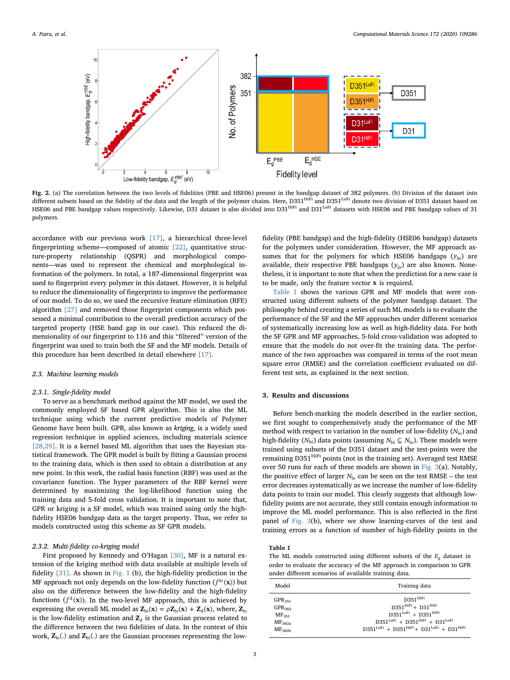<span id="page-2-0"></span>

Fig. 2. (a) The correlation between the two levels of fidelities (PBE and HSE06) present in the bandgap dataset of 382 polymers. (b) Division of the dataset into different subsets based on the fidelity of the data and the length of the polymer chains. Here, D351<sup>HiFi</sup> and D351<sup>LoFi</sup> denote two division of D351 dataset based on HSE06 and PBE bandgap values respectively. Likewise, D31 dataset is also divided into  $D31^{\text{HIFi}}$  and  $D31^{\text{LOFi}}$  datasets with HSE06 and PBE bandgap values of 31 polymers.

accordance with our previous work [\[17\]](#page-4-15), a hierarchical three-level fingerprinting scheme—composed of atomic [\[22\],](#page-4-13) quantitative structure-property relationship (QSPR) and morphological components—was used to represent the chemical and morphological information of the polymers. In total, a 187-dimensional fingerprint was used to fingerprint every polymer in this dataset. However, it is helpful to reduce the dimensionality of fingerprints to improve the performance of our model. To do so, we used the recursive feature elimination (RFE) algorithm [\[27\]](#page-4-16) and removed those fingerprint components which possessed a minimal contribution to the overall prediction accuracy of the targeted property (HSE band gap in our case). This reduced the dimensionality of our fingerprint to 116 and this "filtered" version of the fingerprint was used to train both the SF and the MF models. Details of this procedure has been described in detail elsewhere [\[17\]](#page-4-15).

#### 2.3. Machine learning models

#### 2.3.1. Single-fidelity model

To serve as a benchmark method against the MF model, we used the commonly employed SF based GPR algorithm. This is also the ML technique using which the current predictive models of Polymer Genome have been built. GPR, also known as kriging, is a widely used regression technique in applied sciences, including materials science [\[28,29\].](#page-4-17) It is a kernel based ML algorithm that uses the Bayesian statistical framework. The GPR model is built by fitting a Gaussian process to the training data, which is then used to obtain a distribution at any new point. In this work, the radial basis function (RBF) was used as the covariance function. The hyper parameters of the RBF kernel were determined by maximizing the log-likelihood function using the training data and 5-fold cross validation. It is important to note that, GPR or kriging is a SF model, which was trained using only the highfidelity HSE06 bandgap data as the target property. Thus, we refer to models constructed using this scheme as SF GPR models.

#### 2.3.2. Multi-fidelity co-kriging model

First proposed by Kennedy and O'Hagan [\[30\],](#page-4-18) MF is a natural extension of the kriging method with data available at multiple levels of fidelity [\[31\]](#page-4-19). As shown in [Fig. 1](#page-1-0) (b), the high-fidelity prediction in the MF approach not only depends on the low-fidelity function  $(f^{lo}(\mathbf{x}))$  but also on the difference between the low-fidelity and the high-fidelity functions  $(f<sup>d</sup>(x))$ . In the two-level MF approach, this is achieved by expressing the overall ML model as  $\mathbf{Z}_{hi}(\mathbf{x}) = \rho \mathbf{Z}_{lo}(\mathbf{x}) + \mathbf{Z}_{d}(\mathbf{x})$ , where,  $\mathbf{Z}_{lo}$ is the low-fidelity estimation and  $Z_d$  is the Gaussian process related to the difference between the two fidelities of data. In the context of this work,  $\mathbf{Z}_{\text{lo}}(.)$  and  $\mathbf{Z}_{\text{hi}}(.)$  are the Gaussian processes representing the lowfidelity (PBE bandgap) and the high-fidelity (HSE06 bandgap) datasets for the polymers under consideration. However, the MF approach assumes that for the polymers for which HSE06 bandgaps ( $y<sub>hi</sub>$ ) are available, their respective PBE bandgaps  $(y<sub>lo</sub>)$  are also known. Nonetheless, it is important to note that when the prediction for a new case is to be made, only the feature vector **x** is required.

[Table 1](#page-2-1) shows the various GPR and MF models that were constructed using different subsets of the polymer bandgap dataset. The philosophy behind creating a series of such ML models is to evaluate the performance of the SF and the MF approaches under different scenarios of systematically increasing low as well as high-fidelity data. For both the SF GPR and MF approaches, 5-fold cross-validation was adopted to ensure that the models do not over-fit the training data. The performance of the two approaches was compared in terms of the root mean square error (RMSE) and the correlation coefficient evaluated on different test sets, as explained in the next section.

## 3. Results and discussions

Before bench-marking the models described in the earlier section, we first sought to comprehensively study the performance of the MF method with respect to variation in the number of low-fidelity  $(N_{\text{lo}})$  and high-fidelity ( $N<sub>hi</sub>$ ) data points (assuming  $N<sub>hi</sub> ⊆ N<sub>lo</sub>$ ). These models were trained using subsets of the D351 dataset and the test-points were the remaining D351<sup>HiFi</sup> points (not in the training set). Averaged test RMSE over 50 runs for each of these models are shown in [Fig. 3\(](#page-3-0)a). Notably, the positive effect of larger  $N_{\text{lo}}$  can be seen on the test RMSE – the test error decreases systematically as we increase the number of low-fidelity data points to train our model. This clearly suggests that although lowfidelity points are not accurate, they still contain enough information to improve the ML model performance. This is also reflected in the first panel of [Fig. 3](#page-3-0)(b), where we show learning-curves of the test and training errors as a function of number of high-fidelity points in the

# <span id="page-2-1"></span>Table 1

The ML models constructed using different subsets of the *E*<sup>g</sup> dataset in order to evaluate the accuracy of the MF approach in comparison to GPR under different scenarios of available training data.

| Model              | Training data                                         |
|--------------------|-------------------------------------------------------|
| $GPR_{351}$        | D351 HiFi                                             |
| GPR <sub>382</sub> | $D351^{\text{HIFi}} + D31^{\text{HIFi}}$              |
| MF <sub>351</sub>  | $D351^{LoFi}$ + $D351^{HiFi}$                         |
| MF <sub>382a</sub> | $D351^{LoFi}$ + $D351^{HIFi}$ + $D31^{LoFi}$          |
| MF <sub>382h</sub> | $D351^{LoFi} + D351^{HiFi} + D31^{LoFi} + D31^{HiFi}$ |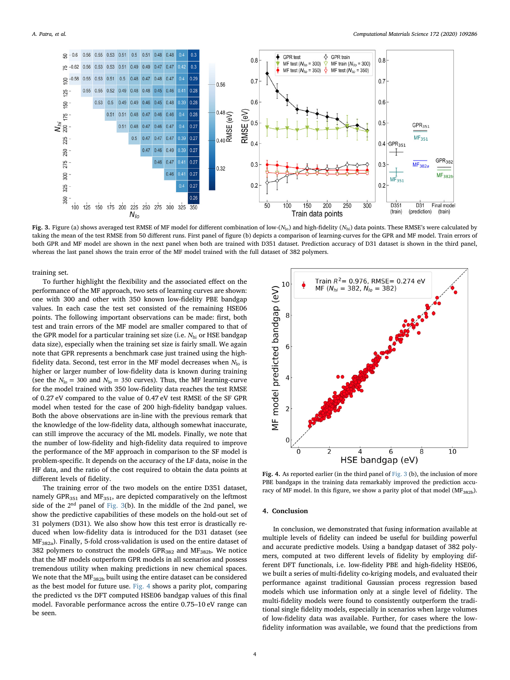<span id="page-3-0"></span>

Fig. 3. Figure (a) shows averaged test RMSE of MF model for different combination of low-( $N_{\text{lo}}$ ) and high-fidelity ( $N_{\text{hi}}$ ) data points. These RMSE's were calculated by taking the mean of the test RMSE from 50 different runs. First panel of figure (b) depicts a comparison of learning-curves for the GPR and MF model. Train errors of both GPR and MF model are shown in the next panel when both are trained with D351 dataset. Prediction accuracy of D31 dataset is shown in the third panel, whereas the last panel shows the train error of the MF model trained with the full dataset of 382 polymers.

training set.

To further highlight the flexibility and the associated effect on the performance of the MF approach, two sets of learning curves are shown: one with 300 and other with 350 known low-fidelity PBE bandgap values. In each case the test set consisted of the remaining HSE06 points. The following important observations can be made: first, both test and train errors of the MF model are smaller compared to that of the GPR model for a particular training set size (i.e. *N*hi or HSE bandgap data size), especially when the training set size is fairly small. We again note that GPR represents a benchmark case just trained using the highfidelity data. Second, test error in the MF model decreases when  $N_{lo}$  is higher or larger number of low-fidelity data is known during training (see the  $N_{\text{lo}} = 300$  and  $N_{\text{lo}} = 350$  curves). Thus, the MF learning-curve for the model trained with 350 low-fidelity data reaches the test RMSE of 0.27 eV compared to the value of 0.47 eV test RMSE of the SF GPR model when tested for the case of 200 high-fidelity bandgap values. Both the above observations are in-line with the previous remark that the knowledge of the low-fidelity data, although somewhat inaccurate, can still improve the accuracy of the ML models. Finally, we note that the number of low-fidelity and high-fidelity data required to improve the performance of the MF approach in comparison to the SF model is problem-specific. It depends on the accuracy of the LF data, noise in the HF data, and the ratio of the cost required to obtain the data points at different levels of fidelity.

The training error of the two models on the entire D351 dataset, namely GPR<sub>351</sub> and MF<sub>351</sub>, are depicted comparatively on the leftmost side of the 2nd panel of [Fig. 3\(](#page-3-0)b). In the middle of the 2nd panel, we show the predictive capabilities of these models on the hold-out set of 31 polymers (D31). We also show how this test error is drastically reduced when low-fidelity data is introduced for the D31 dataset (see  $MF<sub>382a</sub>$ ). Finally, 5-fold cross-validation is used on the entire dataset of 382 polymers to construct the models  $GPR<sub>382</sub>$  and  $MF<sub>382b</sub>$ . We notice that the MF models outperform GPR models in all scenarios and possess tremendous utility when making predictions in new chemical spaces. We note that the MF<sub>382b</sub> built using the entire dataset can be considered as the best model for future use. [Fig. 4](#page-3-1) shows a parity plot, comparing the predicted vs the DFT computed HSE06 bandgap values of this final model. Favorable performance across the entire 0.75–10 eV range can be seen.

<span id="page-3-1"></span>

Fig. 4. As reported earlier (in the third panel of [Fig. 3](#page-3-0) (b), the inclusion of more PBE bandgaps in the training data remarkably improved the prediction accuracy of MF model. In this figure, we show a parity plot of that model ( $MF<sub>382b</sub>$ ).

#### 4. Conclusion

In conclusion, we demonstrated that fusing information available at multiple levels of fidelity can indeed be useful for building powerful and accurate predictive models. Using a bandgap dataset of 382 polymers, computed at two different levels of fidelity by employing different DFT functionals, i.e. low-fidelity PBE and high-fidelity HSE06, we built a series of multi-fidelity co-kriging models, and evaluated their performance against traditional Gaussian process regression based models which use information only at a single level of fidelity. The multi-fidelity models were found to consistently outperform the traditional single fidelity models, especially in scenarios when large volumes of low-fidelity data was available. Further, for cases where the lowfidelity information was available, we found that the predictions from